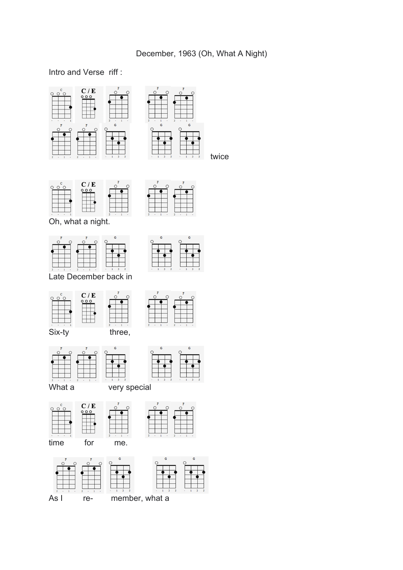## Intro and Verse riff :





 $C/E$  $\circ$   $\circ$ ັດ

Oh, what a night.



Late December back in









 $\circ$ <sup>F</sup>













twice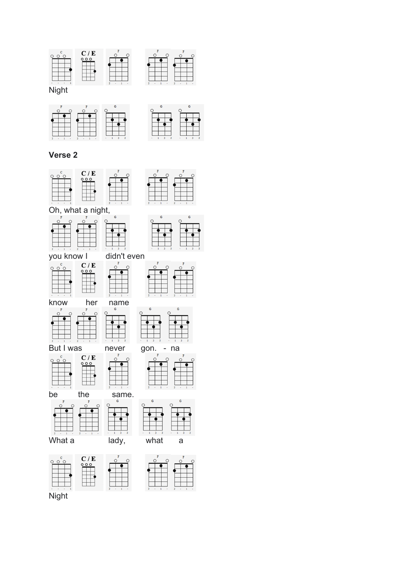



 $\circ$ <sup>F</sup>

 $\circ$ 

 $\overline{\mathcal{O}}$ 

#### **Verse 2**







you know  $\begin{array}{ccc} \n\sqrt{5} & \text{d} \cdot \text{d} \cdot \text{d} \cdot \text{d} \cdot \text{d} \cdot \text{d} \cdot \text{e} \cdot \text{e} \cdot \text{e} \cdot \text{e} \cdot \text{e} \cdot \text{e} \cdot \text{e} \cdot \text{e} \cdot \text{e} \cdot \text{e} \cdot \text{e} \cdot \text{e} \cdot \text{e} \cdot \text{e} \cdot \text{e} \cdot \text{e} \cdot \text{e} \cdot \text{e} \cdot \text{e} \cdot \text{e} \cdot \text{e} \cdot \text{e} \cdot$  $\circ \circ \circ$ 











 $000$ 











 $\overline{O}^{\overline{F}}$ 









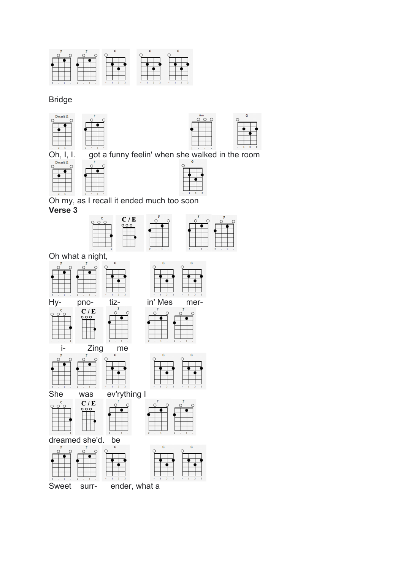

#### **Bridge**





Ġ.

Oh, I, I.





Oh my, as I recall it ended much too soon





G

 $\circ$ 

Oh what a night,











surr-

ender, what a

mer- $\overline{F}$ 

 $\mathsf{G}$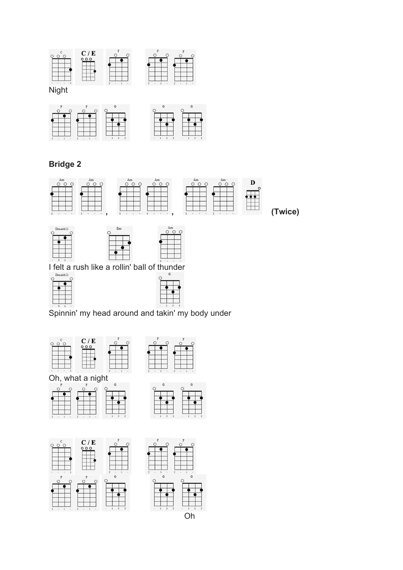

Night



# **Bridge 2**



I felt a rush like a rollin' ball of thunder

|  | Dmadd11 |
|--|---------|



Spinnin' my head around and takin' my body under













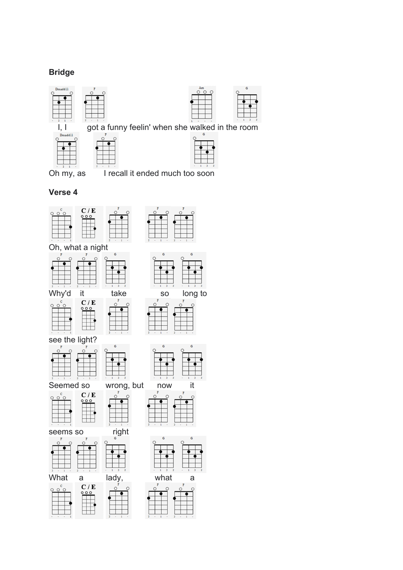### **Bridge**







| ain |  |
|-----|--|
| G   |  |
|     |  |
|     |  |
|     |  |
|     |  |
|     |  |
|     |  |
|     |  |
|     |  |

 $\mathbf{G}$ 

Oh my, as I recall it ended much too soon

#### **Verse 4**















 $\circ$